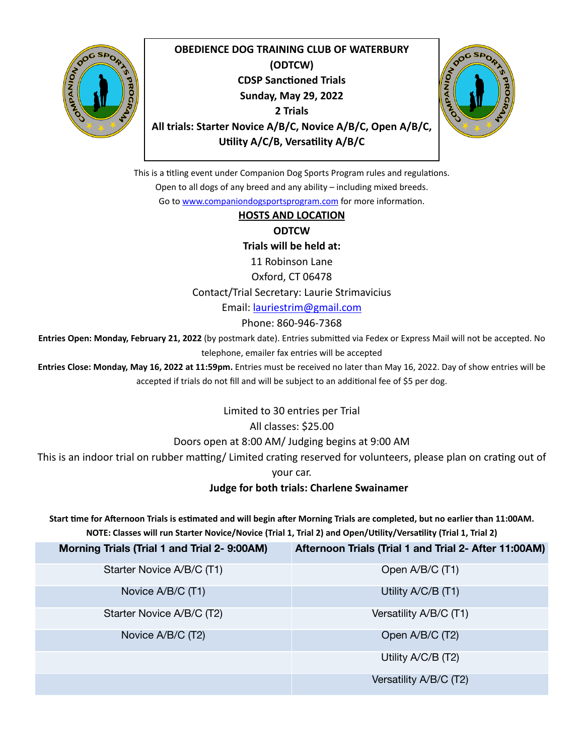

**OBEDIENCE DOG TRAINING CLUB OF WATERBURY (ODTCW) CDSP Sanctioned Trials** Sunday, May 29, 2022 **2 Trials** All trials: Starter Novice A/B/C, Novice A/B/C, Open A/B/C, Utility A/C/B, Versatility A/B/C



This is a titling event under Companion Dog Sports Program rules and regulations. Open to all dogs of any breed and any ability  $-$  including mixed breeds. Go to www.companiondogsportsprogram.com for more information.

# **HOSTS AND LOCATION**

**ODTCW Trials will be held at:** 

11 Robinson Lane

Oxford, CT 06478

Contact/Trial Secretary: Laurie Strimavicius

Email: [lauriestrim@gmail.com](mailto:lauriestrim@gmail.com)

Phone: 860-946-7368

**Entries Open: Monday, February 21, 2022** (by postmark date). Entries submitted via Fedex or Express Mail will not be accepted. No telephone, emailer fax entries will be accepted

**Entries Close: Monday, May 16, 2022 at 11:59pm.** Entries must be received no later than May 16, 2022. Day of show entries will be accepted if trials do not fill and will be subject to an additional fee of \$5 per dog.

Limited to 30 entries per Trial

All classes: \$25.00

Doors open at 8:00 AM/ Judging begins at 9:00 AM

This is an indoor trial on rubber matting/ Limited crating reserved for volunteers, please plan on crating out of

your car.

## **Judge for both trials: Charlene Swainamer**

Start time for Afternoon Trials is estimated and will begin after Morning Trials are completed, but no earlier than 11:00AM. **NOTE: Classes will run Starter Novice/Novice (Trial 1, Trial 2) and Open/Utility/Versatility (Trial 1, Trial 2)** 

| Morning Trials (Trial 1 and Trial 2- 9:00AM) | Afternoon Trials (Trial 1 and Trial 2- After 11:00AM) |
|----------------------------------------------|-------------------------------------------------------|
| Starter Novice A/B/C (T1)                    | Open A/B/C (T1)                                       |
| Novice A/B/C (T1)                            | Utility A/C/B (T1)                                    |
| Starter Novice A/B/C (T2)                    | Versatility A/B/C (T1)                                |
| Novice A/B/C (T2)                            | Open A/B/C (T2)                                       |
|                                              | Utility A/C/B (T2)                                    |
|                                              | Versatility A/B/C (T2)                                |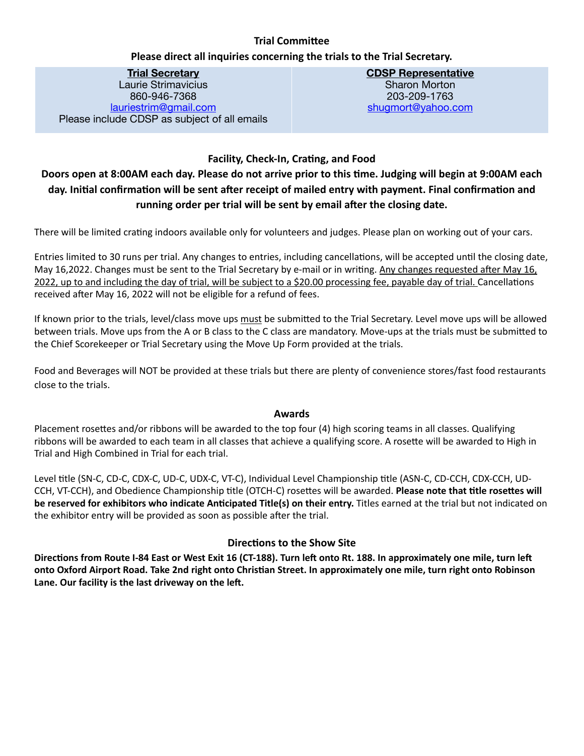## **Trial Committee**

### Please direct all inquiries concerning the trials to the Trial Secretary.

**Trial Secretary**  Laurie Strimavicius 860-946-7368 [lauriestrim@gmail.com](mailto:lauriestrim@gmail.com) Please include CDSP as subject of all emails **CDSP Representative**  Sharon Morton 203-209-1763 [shugmort@yahoo.com](mailto:shugmort@yahoo.com)

## **Facility, Check-In, Crating, and Food**

# Doors open at 8:00AM each day. Please do not arrive prior to this time. Judging will begin at 9:00AM each day. Initial confirmation will be sent after receipt of mailed entry with payment. Final confirmation and running order per trial will be sent by email after the closing date.

There will be limited crating indoors available only for volunteers and judges. Please plan on working out of your cars.

Entries limited to 30 runs per trial. Any changes to entries, including cancellations, will be accepted until the closing date, May 16,2022. Changes must be sent to the Trial Secretary by e-mail or in writing. Any changes requested after May 16, 2022, up to and including the day of trial, will be subject to a \$20.00 processing fee, payable day of trial. Cancellations received after May 16, 2022 will not be eligible for a refund of fees.

If known prior to the trials, level/class move ups must be submitted to the Trial Secretary. Level move ups will be allowed between trials. Move ups from the A or B class to the C class are mandatory. Move-ups at the trials must be submitted to the Chief Scorekeeper or Trial Secretary using the Move Up Form provided at the trials.

Food and Beverages will NOT be provided at these trials but there are plenty of convenience stores/fast food restaurants close to the trials.

#### **Awards**

Placement rosettes and/or ribbons will be awarded to the top four (4) high scoring teams in all classes. Qualifying ribbons will be awarded to each team in all classes that achieve a qualifying score. A rosette will be awarded to High in Trial and High Combined in Trial for each trial.

Level title (SN-C, CD-C, CDX-C, UD-C, UDX-C, VT-C), Individual Level Championship title (ASN-C, CD-CCH, CDX-CCH, UD-CCH, VT-CCH), and Obedience Championship title (OTCH-C) rosettes will be awarded. **Please note that title rosettes will** be reserved for exhibitors who indicate Anticipated Title(s) on their entry. Titles earned at the trial but not indicated on the exhibitor entry will be provided as soon as possible after the trial.

### **Directions to the Show Site**

Directions from Route I-84 East or West Exit 16 (CT-188). Turn left onto Rt. 188. In approximately one mile, turn left onto Oxford Airport Road. Take 2nd right onto Christian Street. In approximately one mile, turn right onto Robinson Lane. Our facility is the last driveway on the left.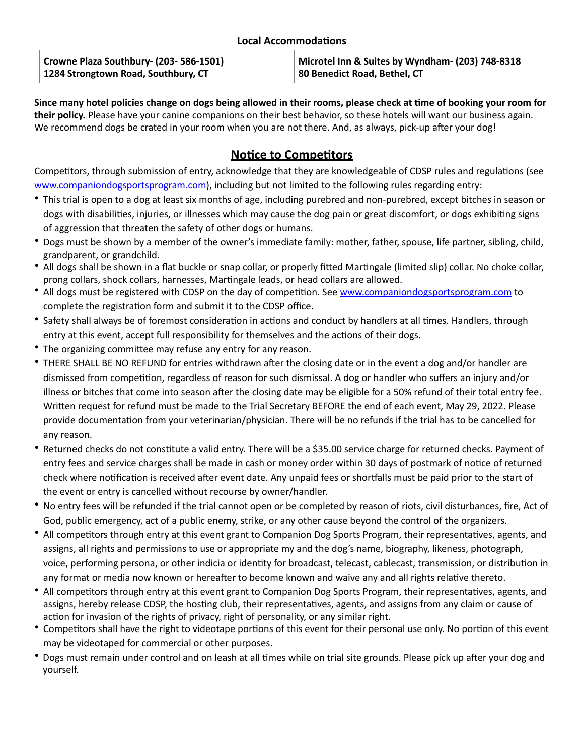| Crowne Plaza Southbury- (203-586-1501) | Microtel Inn & Suites by Wyndham- (203) 748-8318 |
|----------------------------------------|--------------------------------------------------|
| 1284 Strongtown Road, Southbury, CT    | 80 Benedict Road, Bethel, CT                     |

Since many hotel policies change on dogs being allowed in their rooms, please check at time of booking your room for **their policy.** Please have your canine companions on their best behavior, so these hotels will want our business again. We recommend dogs be crated in your room when you are not there. And, as always, pick-up after your dog!

# **Notice to Competitors**

Competitors, through submission of entry, acknowledge that they are knowledgeable of CDSP rules and regulations (see [www.companiondogsportsprogram.com](http://www.companiondogsportsprogram.com)), including but not limited to the following rules regarding entry:

- This trial is open to a dog at least six months of age, including purebred and non-purebred, except bitches in season or dogs with disabilities, injuries, or illnesses which may cause the dog pain or great discomfort, or dogs exhibiting signs of aggression that threaten the safety of other dogs or humans.
- Dogs must be shown by a member of the owner's immediate family: mother, father, spouse, life partner, sibling, child, grandparent, or grandchild.
- All dogs shall be shown in a flat buckle or snap collar, or properly fitted Martingale (limited slip) collar. No choke collar, prong collars, shock collars, harnesses, Martingale leads, or head collars are allowed.
- All dogs must be registered with CDSP on the day of competition. See www.companiondogsportsprogram.com to complete the registration form and submit it to the CDSP office.
- Safety shall always be of foremost consideration in actions and conduct by handlers at all times. Handlers, through entry at this event, accept full responsibility for themselves and the actions of their dogs.
- The organizing committee may refuse any entry for any reason.
- THERE SHALL BE NO REFUND for entries withdrawn after the closing date or in the event a dog and/or handler are dismissed from competition, regardless of reason for such dismissal. A dog or handler who suffers an injury and/or illness or bitches that come into season after the closing date may be eligible for a 50% refund of their total entry fee. Written request for refund must be made to the Trial Secretary BEFORE the end of each event, May 29, 2022. Please provide documentation from your veterinarian/physician. There will be no refunds if the trial has to be cancelled for any reason.
- Returned checks do not constitute a valid entry. There will be a \$35.00 service charge for returned checks. Payment of entry fees and service charges shall be made in cash or money order within 30 days of postmark of notice of returned check where notification is received after event date. Any unpaid fees or shortfalls must be paid prior to the start of the event or entry is cancelled without recourse by owner/handler.
- No entry fees will be refunded if the trial cannot open or be completed by reason of riots, civil disturbances, fire, Act of God, public emergency, act of a public enemy, strike, or any other cause beyond the control of the organizers.
- All competitors through entry at this event grant to Companion Dog Sports Program, their representatives, agents, and assigns, all rights and permissions to use or appropriate my and the dog's name, biography, likeness, photograph, voice, performing persona, or other indicia or identity for broadcast, telecast, cablecast, transmission, or distribution in any format or media now known or hereafter to become known and waive any and all rights relative thereto.
- All competitors through entry at this event grant to Companion Dog Sports Program, their representatives, agents, and assigns, hereby release CDSP, the hosting club, their representatives, agents, and assigns from any claim or cause of action for invasion of the rights of privacy, right of personality, or any similar right.
- Competitors shall have the right to videotape portions of this event for their personal use only. No portion of this event may be videotaped for commercial or other purposes.
- Dogs must remain under control and on leash at all times while on trial site grounds. Please pick up after your dog and yourself.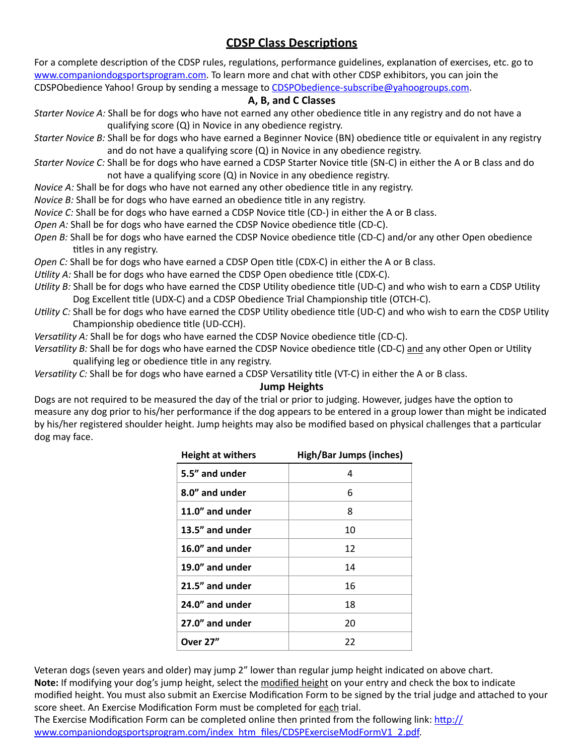# **CDSP Class Descriptions**

For a complete description of the CDSP rules, regulations, performance guidelines, explanation of exercises, etc. go to [www.companiondogsportsprogram.com](http://www.companiondogsportsprogram.com/). To learn more and chat with other CDSP exhibitors, you can join the CDSPObedience Yahoo! Group by sending a message to CDSPObedience-subscribe@yahoogroups.com.

## **A, B, and C Classes**

- *Starter Novice A:* Shall be for dogs who have not earned any other obedience title in any registry and do not have a qualifying score (Q) in Novice in any obedience registry.
- *Starter Novice B:* Shall be for dogs who have earned a Beginner Novice (BN) obedience title or equivalent in any registry and do not have a qualifying score  $(Q)$  in Novice in any obedience registry.
- *Starter Novice C:* Shall be for dogs who have earned a CDSP Starter Novice title (SN-C) in either the A or B class and do not have a qualifying score  $(Q)$  in Novice in any obedience registry.
- *Novice A:* Shall be for dogs who have not earned any other obedience title in any registry.
- *Novice B:* Shall be for dogs who have earned an obedience title in any registry.
- *Novice C:* Shall be for dogs who have earned a CDSP Novice title (CD-) in either the A or B class.
- *Open A:* Shall be for dogs who have earned the CDSP Novice obedience title (CD-C).
- *Open B:* Shall be for dogs who have earned the CDSP Novice obedience title (CD-C) and/or any other Open obedience titles in any registry.
- *Open C:* Shall be for dogs who have earned a CDSP Open title (CDX-C) in either the A or B class.
- *Utility* A: Shall be for dogs who have earned the CDSP Open obedience title (CDX-C).
- Utility B: Shall be for dogs who have earned the CDSP Utility obedience title (UD-C) and who wish to earn a CDSP Utility Dog Excellent title (UDX-C) and a CDSP Obedience Trial Championship title (OTCH-C).
- Utility C: Shall be for dogs who have earned the CDSP Utility obedience title (UD-C) and who wish to earn the CDSP Utility Championship obedience title (UD-CCH).
- Versatility A: Shall be for dogs who have earned the CDSP Novice obedience title (CD-C).
- Versatility B: Shall be for dogs who have earned the CDSP Novice obedience title (CD-C) and any other Open or Utility qualifying leg or obedience title in any registry.
- Versatility C: Shall be for dogs who have earned a CDSP Versatility title (VT-C) in either the A or B class.

#### **Jump Heights**

Dogs are not required to be measured the day of the trial or prior to judging. However, judges have the option to measure any dog prior to his/her performance if the dog appears to be entered in a group lower than might be indicated by his/her registered shoulder height. Jump heights may also be modified based on physical challenges that a particular dog may face.

| <b>Height at withers</b> | <b>High/Bar Jumps (inches)</b> |
|--------------------------|--------------------------------|
| 5.5" and under           | 4                              |
| 8.0" and under           | 6                              |
| 11.0" and under          | 8                              |
| 13.5" and under          | 10                             |
| 16.0" and under          | 12                             |
| 19.0" and under          | 14                             |
| 21.5" and under          | 16                             |
| 24.0" and under          | 18                             |
| 27.0" and under          | 20                             |
| <b>Over 27"</b>          | 22                             |

Veteran dogs (seven years and older) may jump 2" lower than regular jump height indicated on above chart. Note: If modifying your dog's jump height, select the modified height on your entry and check the box to indicate modified height. You must also submit an Exercise Modification Form to be signed by the trial judge and attached to your score sheet. An Exercise Modification Form must be completed for each trial.

The Exercise Modification Form can be completed online then printed from the following link: [http://](http://www.companiondogsportsprogram.com/index_htm_files/CDSPExerciseModFormV1_2.pdf) [www.companiondogsportsprogram.com/index\\_htm\\_files/CDSPExerciseModFormV1\\_2.pdf.](http://www.companiondogsportsprogram.com/index_htm_files/CDSPExerciseModFormV1_2.pdf)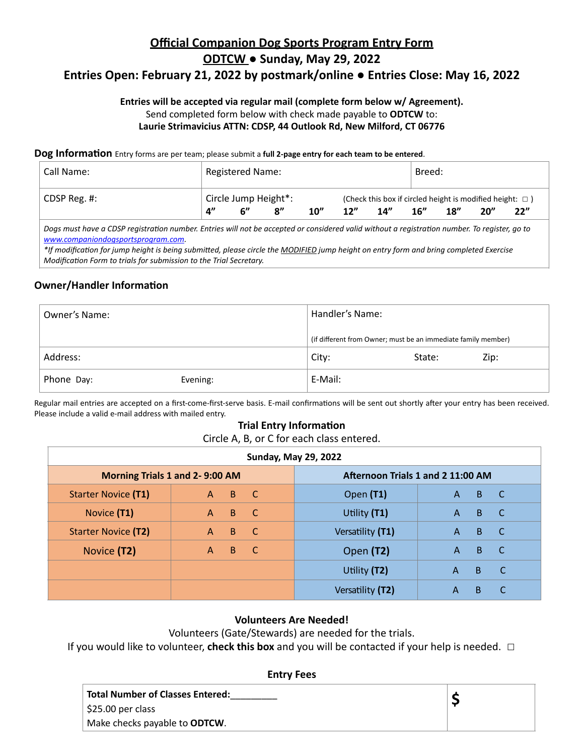# **Official Companion Dog Sports Program Entry Form ODTCW ● Sunday, May 29, 2022**

# Entries Open: February 21, 2022 by postmark/online . Entries Close: May 16, 2022

#### Entries will be accepted via regular mail (complete form below w/ Agreement). Send completed form below with check made payable to **ODTCW** to: Laurie Strimavicius ATTN: CDSP, 44 Outlook Rd, New Milford, CT 06776

**Dog Information** Entry forms are per team; please submit a full 2-page entry for each team to be entered.

| Call Name:                                                                                                                                |    | <b>Registered Name:</b> |                      |     |     |                                                                | Breed: |     |     |     |
|-------------------------------------------------------------------------------------------------------------------------------------------|----|-------------------------|----------------------|-----|-----|----------------------------------------------------------------|--------|-----|-----|-----|
| $\vert$ CDSP Reg. #:                                                                                                                      |    |                         | Circle Jump Height*: |     |     | (Check this box if circled height is modified height: $\Box$ ) |        |     |     |     |
|                                                                                                                                           | Δ" | .ና"                     | $\mathbf{R}''$       | 10" | 12" | $14''$ $16''$                                                  |        | 18" | 0ט" | 22" |
| Dengan dengan CDCD pentebuatan penghari Februara III pelaka pengandan pengatangan melih melangkan penghang Temperaturun penghari penghari |    |                         |                      |     |     |                                                                |        |     |     |     |

Dogs must have a CDSP registration number. Entries will not be accepted or considered valid without a registration number. To register, go to *[www.companiondogsportsprogram.com](http://www.companiondogsportsprogram.com).*

\*If modification for jump height is being submitted, please circle the **MODIFIED** jump height on entry form and bring completed Exercise *Modification Form to trials for submission to the Trial Secretary.* 

## **Owner/Handler Information**

| Owner's Name: |          | Handler's Name:                                               |        |      |
|---------------|----------|---------------------------------------------------------------|--------|------|
|               |          | (if different from Owner; must be an immediate family member) |        |      |
| Address:      |          | City:                                                         | State: | Zip: |
| Phone Day:    | Evening: | E-Mail:                                                       |        |      |

Regular mail entries are accepted on a first-come-first-serve basis. E-mail confirmations will be sent out shortly after your entry has been received. Please include a valid e-mail address with mailed entry.

#### **Trial Entry Information**

Circle A, B, or C for each class entered.

| <b>Sunday, May 29, 2022</b> |                                |    |                                   |                  |              |              |                            |
|-----------------------------|--------------------------------|----|-----------------------------------|------------------|--------------|--------------|----------------------------|
|                             | Morning Trials 1 and 2-9:00 AM |    | Afternoon Trials 1 and 2 11:00 AM |                  |              |              |                            |
| <b>Starter Novice (T1)</b>  | $\mathsf{A}$                   | B  | <b>ACT</b>                        | Open (T1)        | $\mathsf{A}$ | $\mathsf{B}$ | $\overline{\phantom{a}}$ C |
| Novice (T1)                 | $\mathsf{A}$                   | B. | $\mathsf{C}$                      | Utility (T1)     | $\mathsf{A}$ | B            | $\overline{C}$             |
| Starter Novice (T2)         | $\mathsf{A}$                   | B. | C                                 | Versatility (T1) | $\mathsf{A}$ | B            | $\overline{C}$             |
| Novice (T2)                 | $\mathsf{A}$                   | B. | C                                 | Open (T2)        | $\mathsf{A}$ | B            | $\mathsf{C}$               |
|                             |                                |    |                                   | Utility (T2)     | $\mathsf{A}$ | <sub>B</sub> | - C                        |
|                             |                                |    |                                   | Versatility (T2) | A            | B            |                            |

#### **Volunteers Are Needed!**

Volunteers (Gate/Stewards) are needed for the trials.

If you would like to volunteer, check this box and you will be contacted if your help is needed. □

| Total Number of Classes Entered:      |  |
|---------------------------------------|--|
| $\frac{1}{2}$ \$25.00 per class       |  |
| Make checks payable to <b>ODTCW</b> . |  |